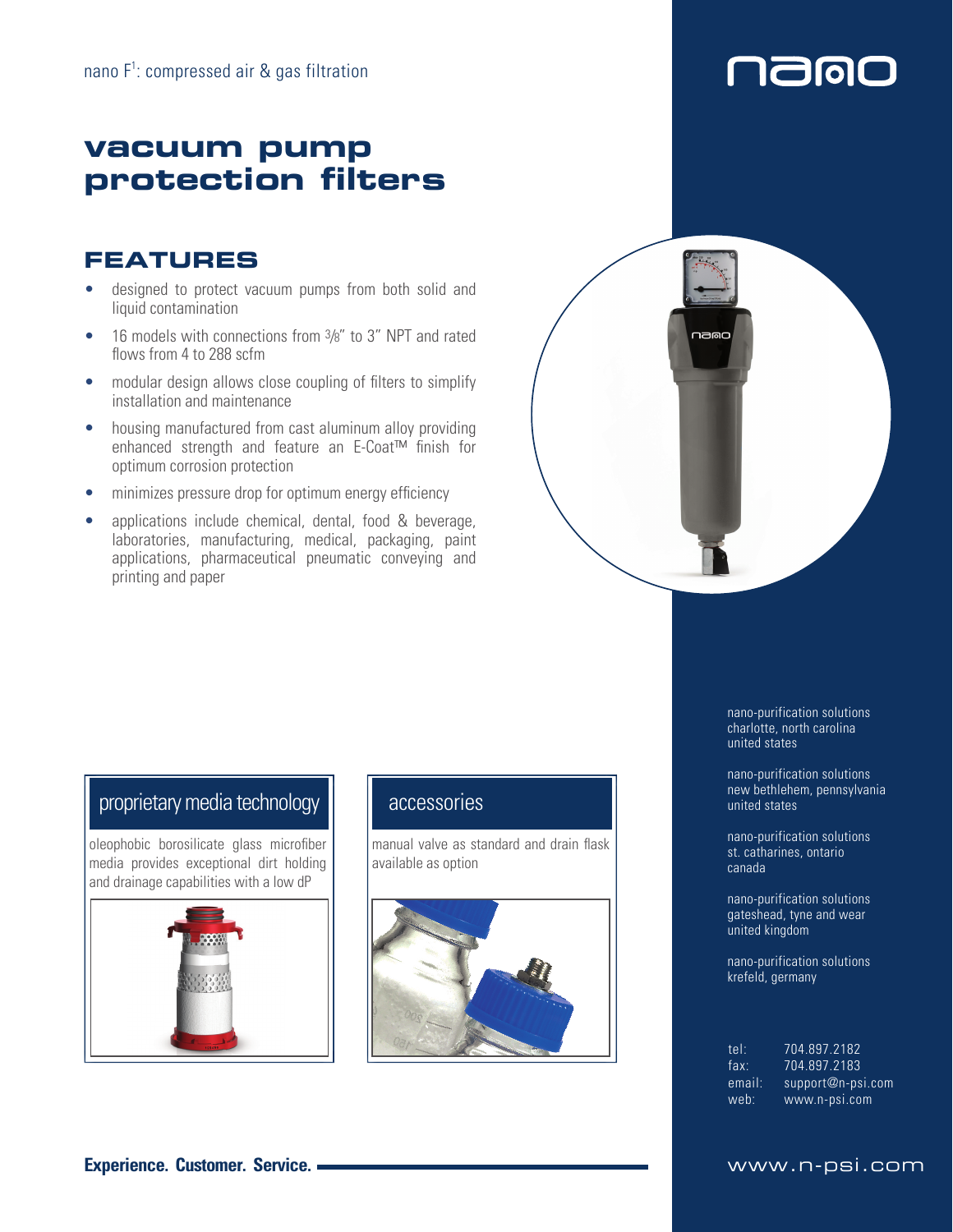## **vacuum pump protection filters**

## **FEATURES**

- designed to protect vacuum pumps from both solid and liquid contamination
- 16 models with connections from  $\frac{3}{8}$ " to 3" NPT and rated flows from 4 to 288 scfm
- modular design allows close coupling of filters to simplify installation and maintenance
- housing manufactured from cast aluminum alloy providing enhanced strength and feature an E-Coat™ finish for optimum corrosion protection
- minimizes pressure drop for optimum energy efficiency
- applications include chemical, dental, food & beverage, laboratories, manufacturing, medical, packaging, paint applications, pharmaceutical pneumatic conveying and printing and paper



## proprietary media technology  $\|\cdot\|$  accessories

oleophobic borosilicate glass microfiber media provides exceptional dirt holding and drainage capabilities with a low dP



manual valve as standard and drain flask available as option



nano-purification solutions charlotte, north carolina united states

**7900** 

 $\mathsf I$ 

nano-purification solutions new bethlehem, pennsylvania united states

nano-purification solutions st. catharines, ontario canada

nano-purification solutions gateshead, tyne and wear united kingdom

nano-purification solutions krefeld, germany

| tel:   | 704 897 2182               |
|--------|----------------------------|
| fax:   | 704.897.2183               |
| email: | $support@n\text{-}psi.com$ |
| web:   | www.n-psi.com              |

### **Experience. Customer. Service. WWW.n-psi.com**